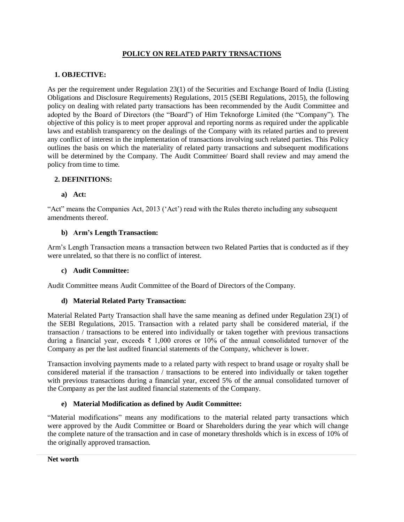## **POLICY ON RELATED PARTY TRNSACTIONS**

## **1. OBJECTIVE:**

As per the requirement under Regulation 23(1) of the Securities and Exchange Board of India (Listing Obligations and Disclosure Requirements) Regulations, 2015 (SEBI Regulations, 2015), the following policy on dealing with related party transactions has been recommended by the Audit Committee and adopted by the Board of Directors (the "Board") of Him Teknoforge Limited (the "Company"). The objective of this policy is to meet proper approval and reporting norms as required under the applicable laws and establish transparency on the dealings of the Company with its related parties and to prevent any conflict of interest in the implementation of transactions involving such related parties. This Policy outlines the basis on which the materiality of related party transactions and subsequent modifications will be determined by the Company. The Audit Committee/ Board shall review and may amend the policy from time to time.

# **2. DEFINITIONS:**

### **a) Act:**

"Act" means the Companies Act, 2013 ('Act') read with the Rules thereto including any subsequent amendments thereof.

### **b) Arm's Length Transaction:**

Arm's Length Transaction means a transaction between two Related Parties that is conducted as if they were unrelated, so that there is no conflict of interest.

#### **c) Audit Committee:**

Audit Committee means Audit Committee of the Board of Directors of the Company.

## **d) Material Related Party Transaction:**

Material Related Party Transaction shall have the same meaning as defined under Regulation 23(1) of the SEBI Regulations, 2015. Transaction with a related party shall be considered material, if the transaction / transactions to be entered into individually or taken together with previous transactions during a financial year, exceeds ₹ 1,000 crores or 10% of the annual consolidated turnover of the Company as per the last audited financial statements of the Company, whichever is lower.

Transaction involving payments made to a related party with respect to brand usage or royalty shall be considered material if the transaction / transactions to be entered into individually or taken together with previous transactions during a financial year, exceed 5% of the annual consolidated turnover of the Company as per the last audited financial statements of the Company.

## **e) Material Modification as defined by Audit Committee:**

"Material modifications" means any modifications to the material related party transactions which were approved by the Audit Committee or Board or Shareholders during the year which will change the complete nature of the transaction and in case of monetary thresholds which is in excess of 10% of the originally approved transaction.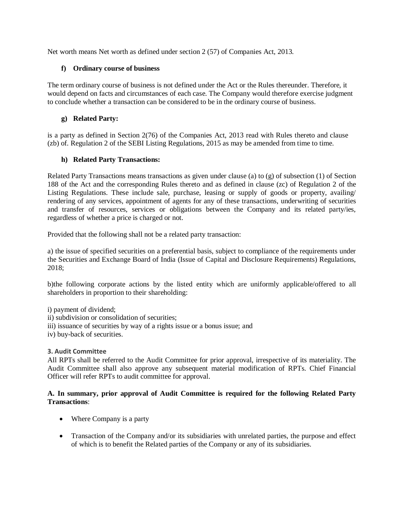Net worth means Net worth as defined under section 2 (57) of Companies Act, 2013.

### **f) Ordinary course of business**

The term ordinary course of business is not defined under the Act or the Rules thereunder. Therefore, it would depend on facts and circumstances of each case. The Company would therefore exercise judgment to conclude whether a transaction can be considered to be in the ordinary course of business.

### **g) Related Party:**

is a party as defined in Section 2(76) of the Companies Act, 2013 read with Rules thereto and clause (zb) of. Regulation 2 of the SEBI Listing Regulations, 2015 as may be amended from time to time.

## **h) Related Party Transactions:**

Related Party Transactions means transactions as given under clause (a) to (g) of subsection (1) of Section 188 of the Act and the corresponding Rules thereto and as defined in clause (zc) of Regulation 2 of the Listing Regulations. These include sale, purchase, leasing or supply of goods or property, availing/ rendering of any services, appointment of agents for any of these transactions, underwriting of securities and transfer of resources, services or obligations between the Company and its related party/ies, regardless of whether a price is charged or not.

Provided that the following shall not be a related party transaction:

a) the issue of specified securities on a preferential basis, subject to compliance of the requirements under the Securities and Exchange Board of India (Issue of Capital and Disclosure Requirements) Regulations, 2018;

b)the following corporate actions by the listed entity which are uniformly applicable/offered to all shareholders in proportion to their shareholding:

i) payment of dividend;

- ii) subdivision or consolidation of securities;
- iii) issuance of securities by way of a rights issue or a bonus issue; and
- iv) buy-back of securities.

#### **3. Audit Committee**

All RPTs shall be referred to the Audit Committee for prior approval, irrespective of its materiality. The Audit Committee shall also approve any subsequent material modification of RPTs. Chief Financial Officer will refer RPTs to audit committee for approval.

### **A. In summary, prior approval of Audit Committee is required for the following Related Party Transactions**:

- Where Company is a party
- Transaction of the Company and/or its subsidiaries with unrelated parties, the purpose and effect of which is to benefit the Related parties of the Company or any of its subsidiaries.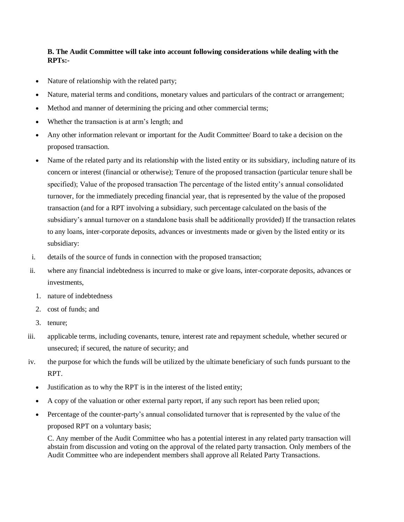# **B. The Audit Committee will take into account following considerations while dealing with the RPTs:-**

- Nature of relationship with the related party;
- Nature, material terms and conditions, monetary values and particulars of the contract or arrangement;
- Method and manner of determining the pricing and other commercial terms;
- Whether the transaction is at arm's length; and
- Any other information relevant or important for the Audit Committee/ Board to take a decision on the proposed transaction.
- Name of the related party and its relationship with the listed entity or its subsidiary, including nature of its concern or interest (financial or otherwise); Tenure of the proposed transaction (particular tenure shall be specified); Value of the proposed transaction The percentage of the listed entity's annual consolidated turnover, for the immediately preceding financial year, that is represented by the value of the proposed transaction (and for a RPT involving a subsidiary, such percentage calculated on the basis of the subsidiary's annual turnover on a standalone basis shall be additionally provided) If the transaction relates to any loans, inter-corporate deposits, advances or investments made or given by the listed entity or its subsidiary:
- i. details of the source of funds in connection with the proposed transaction;
- ii. where any financial indebtedness is incurred to make or give loans, inter-corporate deposits, advances or investments,
	- 1. nature of indebtedness
	- 2. cost of funds; and
	- 3. tenure;
- iii. applicable terms, including covenants, tenure, interest rate and repayment schedule, whether secured or unsecured; if secured, the nature of security; and
- iv. the purpose for which the funds will be utilized by the ultimate beneficiary of such funds pursuant to the RPT.
	- Justification as to why the RPT is in the interest of the listed entity;
	- A copy of the valuation or other external party report, if any such report has been relied upon;
	- Percentage of the counter-party's annual consolidated turnover that is represented by the value of the proposed RPT on a voluntary basis;

C. Any member of the Audit Committee who has a potential interest in any related party transaction will abstain from discussion and voting on the approval of the related party transaction. Only members of the Audit Committee who are independent members shall approve all Related Party Transactions.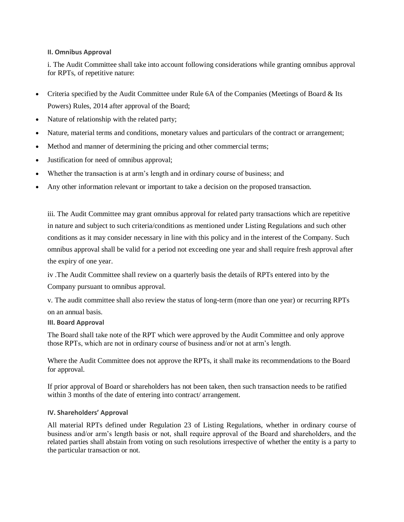#### **II. Omnibus Approval**

i. The Audit Committee shall take into account following considerations while granting omnibus approval for RPTs, of repetitive nature:

- Criteria specified by the Audit Committee under Rule 6A of the Companies (Meetings of Board & Its Powers) Rules, 2014 after approval of the Board;
- Nature of relationship with the related party;
- Nature, material terms and conditions, monetary values and particulars of the contract or arrangement;
- Method and manner of determining the pricing and other commercial terms;
- Justification for need of omnibus approval;
- Whether the transaction is at arm's length and in ordinary course of business; and
- Any other information relevant or important to take a decision on the proposed transaction.

iii. The Audit Committee may grant omnibus approval for related party transactions which are repetitive in nature and subject to such criteria/conditions as mentioned under Listing Regulations and such other conditions as it may consider necessary in line with this policy and in the interest of the Company. Such omnibus approval shall be valid for a period not exceeding one year and shall require fresh approval after the expiry of one year.

iv .The Audit Committee shall review on a quarterly basis the details of RPTs entered into by the

Company pursuant to omnibus approval.

v. The audit committee shall also review the status of long-term (more than one year) or recurring RPTs

on an annual basis.

#### **III. Board Approval**

The Board shall take note of the RPT which were approved by the Audit Committee and only approve those RPTs, which are not in ordinary course of business and/or not at arm's length.

Where the Audit Committee does not approve the RPTs, it shall make its recommendations to the Board for approval.

If prior approval of Board or shareholders has not been taken, then such transaction needs to be ratified within 3 months of the date of entering into contract/arrangement.

#### **IV. Shareholders' Approval**

All material RPTs defined under Regulation 23 of Listing Regulations, whether in ordinary course of business and/or arm's length basis or not, shall require approval of the Board and shareholders, and the related parties shall abstain from voting on such resolutions irrespective of whether the entity is a party to the particular transaction or not.